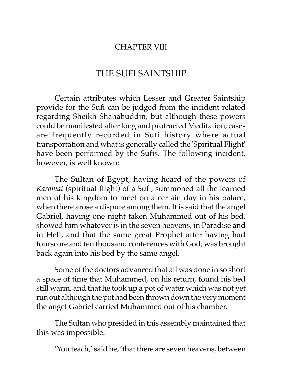## CHAPTER VIII

## THE SUFI SAINTSHIP

Certain attributes which Lesser and Greater Saintship provide for the Sufi can be judged from the incident related regarding Sheikh Shahabuddin, but although these powers could be manifested after long and protracted Meditation, cases are frequently recorded in Sufi history where actual transportation and what is generally called the 'Spiritual Flight' have been performed by the Sufis. The following incident, however, is well known:

The Sultan of Egypt, having heard of the powers of *Karamat* (spiritual flight) of a Sufi, summoned all the learned men of his kingdom to meet on a certain day in his palace, when there arose a dispute among them. It is said that the angel Gabriel, having one night taken Muhammed out of his bed, showed him whatever is in the seven heavens, in Paradise and in Hell, and that the same great Prophet after having had fourscore and ten thousand conferences with God, was brought back again into his bed by the same angel.

Some of the doctors advanced that all was done in so short a space of time that Muhammed, on his return, found his bed still warm, and that he took up a pot of water which was not yet run out although the pot had been thrown down the very moment the angel Gabriel carried Muhammed out of his chamber.

The Sultan who presided in this assembly maintained that this was impossible.

'You teach,' said he, 'that there are seven heavens, between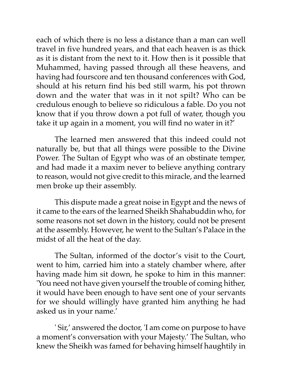each of which there is no less a distance than a man can well travel in five hundred years, and that each heaven is as thick as it is distant from the next to it. How then is it possible that Muhammed, having passed through all these heavens, and having had fourscore and ten thousand conferences with God, should at his return find his bed still warm, his pot thrown down and the water that was in it not spilt? Who can be credulous enough to believe so ridiculous a fable. Do you not know that if you throw down a pot full of water, though you take it up again in a moment, you will find no water in it?'

The learned men answered that this indeed could not naturally be, but that all things were possible to the Divine Power. The Sultan of Egypt who was of an obstinate temper, and had made it a maxim never to believe anything contrary to reason, would not give credit to this miracle, and the learned men broke up their assembly.

This dispute made a great noise in Egypt and the news of it came to the ears of the learned Sheikh Shahabuddin who, for some reasons not set down in the history, could not be present at the assembly. However, he went to the Sultan's Palace in the midst of all the heat of the day.

The Sultan, informed of the doctor's visit to the Court, went to him, carried him into a stately chamber where, after having made him sit down, he spoke to him in this manner: 'You need not have given yourself the trouble of coming hither, it would have been enough to have sent one of your servants for we should willingly have granted him anything he had asked us in your name.'

' Sir,' answered the doctor, 'I am come on purpose to have a moment's conversation with your Majesty.' The Sultan, who knew the Sheikh was famed for behaving himself haughtily in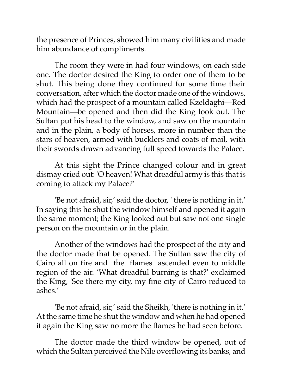the presence of Princes, showed him many civilities and made him abundance of compliments.

The room they were in had four windows, on each side one. The doctor desired the King to order one of them to be shut. This being done they continued for some time their conversation, after which the doctor made one of the windows, which had the prospect of a mountain called Kzeldaghi—Red Mountain—be opened and then did the King look out. The Sultan put his head to the window, and saw on the mountain and in the plain, a body of horses, more in number than the stars of heaven, armed with bucklers and coats of mail, with their swords drawn advancing full speed towards the Palace.

At this sight the Prince changed colour and in great dismay cried out: 'O heaven! What dreadful army is this that is coming to attack my Palace?'

'Be not afraid, sir,' said the doctor, ' there is nothing in it.' In saying this he shut the window himself and opened it again the same moment; the King looked out but saw not one single person on the mountain or in the plain.

Another of the windows had the prospect of the city and the doctor made that be opened. The Sultan saw the city of Cairo all on fire and the flames ascended even to middle region of the air. 'What dreadful burning is that?' exclaimed the King, 'See there my city, my fine city of Cairo reduced to ashes.'

'Be not afraid, sir,' said the Sheikh, 'there is nothing in it.' At the same time he shut the window and when he had opened it again the King saw no more the flames he had seen before.

The doctor made the third window be opened, out of which the Sultan perceived the Nile overflowing its banks, and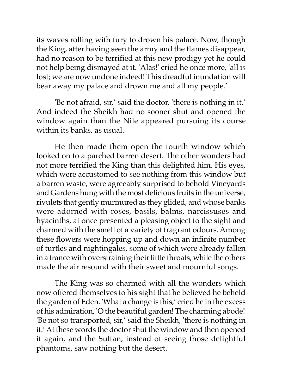its waves rolling with fury to drown his palace. Now, though the King, after having seen the army and the flames disappear, had no reason to be terrified at this new prodigy yet he could not help being dismayed at it. 'Alas!' cried he once more, 'all is lost; we are now undone indeed! This dreadful inundation will bear away my palace and drown me and all my people.'

'Be not afraid, sir,' said the doctor, 'there is nothing in it.' And indeed the Sheikh had no sooner shut and opened the window again than the Nile appeared pursuing its course within its banks, as usual.

He then made them open the fourth window which looked on to a parched barren desert. The other wonders had not more terrified the King than this delighted him. His eyes, which were accustomed to see nothing from this window but a barren waste, were agreeably surprised to behold Vineyards and Gardens hung with the most delicious fruits in the universe, rivulets that gently murmured as they glided, and whose banks were adorned with roses, basils, balms, narcissuses and hyacinths, at once presented a pleasing object to the sight and charmed with the smell of a variety of fragrant odours. Among these flowers were hopping up and down an infinite number of turtles and nightingales, some of which were already fallen in a trance with overstraining their little throats, while the others made the air resound with their sweet and mournful songs.

The King was so charmed with all the wonders which now offered themselves to his sight that he believed he beheld the garden of Eden. 'What a change is this,' cried he in the excess of his admiration, 'O the beautiful garden! The charming abode! 'Be not so transported, sir,' said the Sheikh, 'there is nothing in it.' At these words the doctor shut the window and then opened it again, and the Sultan, instead of seeing those delightful phantoms, saw nothing but the desert.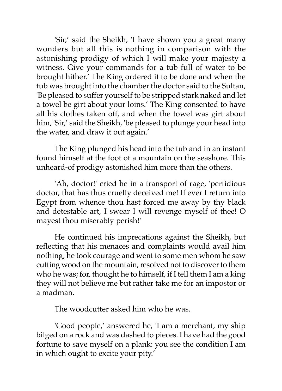'Sir,' said the Sheikh, 'I have shown you a great many wonders but all this is nothing in comparison with the astonishing prodigy of which I will make your majesty a witness. Give your commands for a tub full of water to be brought hither.' The King ordered it to be done and when the tub was brought into the chamber the doctor said to the Sultan, 'Be pleased to suffer yourself to be stripped stark naked and let a towel be girt about your loins.' The King consented to have all his clothes taken off, and when the towel was girt about him, 'Sir,' said the Sheikh, 'be pleased to plunge your head into the water, and draw it out again.'

The King plunged his head into the tub and in an instant found himself at the foot of a mountain on the seashore. This unheard-of prodigy astonished him more than the others.

'Ah, doctor!' cried he in a transport of rage, 'perfidious doctor, that has thus cruelly deceived me! If ever I return into Egypt from whence thou hast forced me away by thy black and detestable art, I swear I will revenge myself of thee! O mayest thou miserably perish!'

He continued his imprecations against the Sheikh, but reflecting that his menaces and complaints would avail him nothing, he took courage and went to some men whom he saw cutting wood on the mountain, resolved not to discover to them who he was; for, thought he to himself, if I tell them I am a king they will not believe me but rather take me for an impostor or a madman.

The woodcutter asked him who he was.

'Good people,' answered he, 'I am a merchant, my ship bilged on a rock and was dashed to pieces. I have had the good fortune to save myself on a plank: you see the condition I am in which ought to excite your pity.'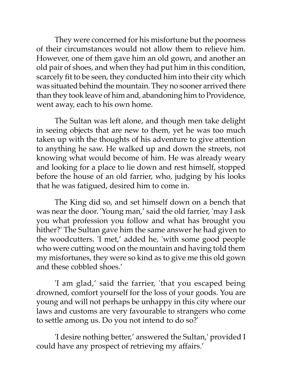They were concerned for his misfortune but the poorness of their circumstances would not allow them to relieve him. However, one of them gave him an old gown, and another an old pair of shoes, and when they had put him in this condition, scarcely fit to be seen, they conducted him into their city which was situated behind the mountain. They no sooner arrived there than they took leave of him and, abandoning him to Providence, went away, each to his own home.

The Sultan was left alone, and though men take delight in seeing objects that are new to them, yet he was too much taken up with the thoughts of his adventure to give attention to anything he saw. He walked up and down the streets, not knowing what would become of him. He was already weary and looking for a place to lie down and rest himself, stopped before the house of an old farrier, who, judging by his looks that he was fatigued, desired him to come in.

The King did so, and set himself down on a bench that was near the door. 'Young man,' said the old farrier, 'may I ask you what profession you follow and what has brought you hither?' The Sultan gave him the same answer he had given to the woodcutters. 'I met,' added he, 'with some good people who were cutting wood on the mountain and having told them my misfortunes, they were so kind as to give me this old gown and these cobbled shoes.'

'I am glad,' said the farrier, 'that you escaped being drowned, comfort yourself for the loss of your goods. You are young and will not perhaps be unhappy in this city where our laws and customs are very favourable to strangers who come to settle among us. Do you not intend to do so?'

'I desire nothing better,' answered the Sultan,' provided I could have any prospect of retrieving my affairs.'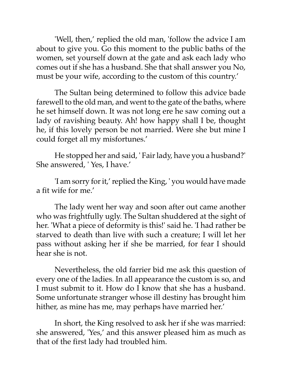'Well, then,' replied the old man, 'follow the advice I am about to give you. Go this moment to the public baths of the women, set yourself down at the gate and ask each lady who comes out if she has a husband. She that shall answer you No, must be your wife, according to the custom of this country.'

The Sultan being determined to follow this advice bade farewell to the old man, and went to the gate of the baths, where he set himself down. It was not long ere he saw coming out a lady of ravishing beauty. Ah! how happy shall I be, thought he, if this lovely person be not married. Were she but mine I could forget all my misfortunes.'

He stopped her and said, ' Fair lady, have you a husband?' She answered, ' Yes, I have.'

'I am sorry for it,' replied the King, ' you would have made a fit wife for me.'

The lady went her way and soon after out came another who was frightfully ugly. The Sultan shuddered at the sight of her. 'What a piece of deformity is this!' said he. 'I had rather be starved to death than live with such a creature; I will let her pass without asking her if she be married, for fear I should hear she is not.

Nevertheless, the old farrier bid me ask this question of every one of the ladies. In all appearance the custom is so, and I must submit to it. How do I know that she has a husband. Some unfortunate stranger whose ill destiny has brought him hither, as mine has me, may perhaps have married her.'

In short, the King resolved to ask her if she was married: she answered, 'Yes,' and this answer pleased him as much as that of the first lady had troubled him.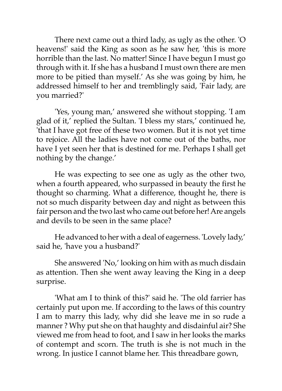There next came out a third lady, as ugly as the other. 'O heavens!' said the King as soon as he saw her, 'this is more horrible than the last. No matter! Since I have begun I must go through with it. If she has a husband I must own there are men more to be pitied than myself.' As she was going by him, he addressed himself to her and tremblingly said, 'Fair lady, are you married?'

'Yes, young man,' answered she without stopping. 'I am glad of it,' replied the Sultan. 'I bless my stars,' continued he, 'that I have got free of these two women. But it is not yet time to rejoice. All the ladies have not come out of the baths, nor have I yet seen her that is destined for me. Perhaps I shall get nothing by the change.'

He was expecting to see one as ugly as the other two, when a fourth appeared, who surpassed in beauty the first he thought so charming. What a difference, thought he, there is not so much disparity between day and night as between this fair person and the two last who came out before her! Are angels and devils to be seen in the same place?

He advanced to her with a deal of eagerness. 'Lovely lady,' said he, 'have you a husband?'

She answered 'No,' looking on him with as much disdain as attention. Then she went away leaving the King in a deep surprise.

'What am I to think of this?' said he. 'The old farrier has certainly put upon me. If according to the laws of this country I am to marry this lady, why did she leave me in so rude a manner ? Why put she on that haughty and disdainful air? She viewed me from head to foot, and I saw in her looks the marks of contempt and scorn. The truth is she is not much in the wrong. In justice I cannot blame her. This threadbare gown,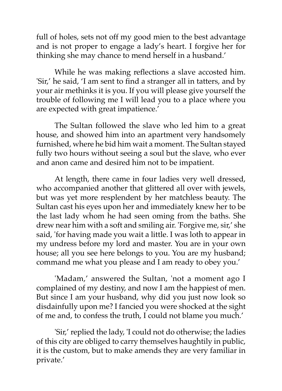full of holes, sets not off my good mien to the best advantage and is not proper to engage a lady's heart. I forgive her for thinking she may chance to mend herself in a husband.'

While he was making reflections a slave accosted him. 'Sir,' he said, 'I am sent to find a stranger all in tatters, and by your air methinks it is you. If you will please give yourself the trouble of following me I will lead you to a place where you are expected with great impatience.'

The Sultan followed the slave who led him to a great house, and showed him into an apartment very handsomely furnished, where he bid him wait a moment. The Sultan stayed fully two hours without seeing a soul but the slave, who ever and anon came and desired him not to be impatient.

At length, there came in four ladies very well dressed, who accompanied another that glittered all over with jewels, but was yet more resplendent by her matchless beauty. The Sultan cast his eyes upon her and immediately knew her to be the last lady whom he had seen oming from the baths. She drew near him with a soft and smiling air. 'Forgive me, sir,' she said, 'for having made you wait a little. I was loth to appear in my undress before my lord and master. You are in your own house; all you see here belongs to you. You are my husband; command me what you please and I am ready to obey you.'

'Madam,' answered the Sultan, 'not a moment ago I complained of my destiny, and now I am the happiest of men. But since I am your husband, why did you just now look so disdainfully upon me? I fancied you were shocked at the sight of me and, to confess the truth, I could not blame you much.'

'Sir,' replied the lady, 'I could not do otherwise; the ladies of this city are obliged to carry themselves haughtily in public, it is the custom, but to make amends they are very familiar in private.'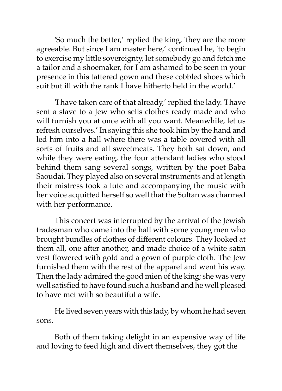'So much the better,' replied the king, 'they are the more agreeable. But since I am master here,' continued he, 'to begin to exercise my little sovereignty, let somebody go and fetch me a tailor and a shoemaker, for I am ashamed to be seen in your presence in this tattered gown and these cobbled shoes which suit but ill with the rank I have hitherto held in the world.'

'I have taken care of that already,' replied the lady. 'I have sent a slave to a Jew who sells clothes ready made and who will furnish you at once with all you want. Meanwhile, let us refresh ourselves.' In saying this she took him by the hand and led him into a hall where there was a table covered with all sorts of fruits and all sweetmeats. They both sat down, and while they were eating, the four attendant ladies who stood behind them sang several songs, written by the poet Baba Saoudai. They played also on several instruments and at length their mistress took a lute and accompanying the music with her voice acquitted herself so well that the Sultan was charmed with her performance.

This concert was interrupted by the arrival of the Jewish tradesman who came into the hall with some young men who brought bundles of clothes of different colours. They looked at them all, one after another, and made choice of a white satin vest flowered with gold and a gown of purple cloth. The Jew furnished them with the rest of the apparel and went his way. Then the lady admired the good mien of the king; she was very well satisfied to have found such a husband and he well pleased to have met with so beautiful a wife.

He lived seven years with this lady, by whom he had seven sons.

Both of them taking delight in an expensive way of life and loving to feed high and divert themselves, they got the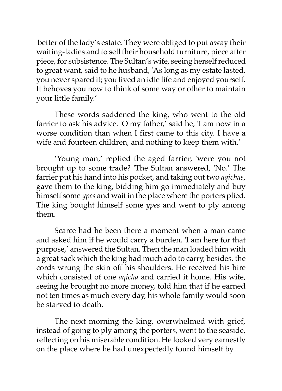better of the lady's estate. They were obliged to put away their waiting-ladies and to sell their household furniture, piece after piece, for subsistence. The Sultan's wife, seeing herself reduced to great want, said to he husband, 'As long as my estate lasted, you never spared it; you lived an idle life and enjoyed yourself. It behoves you now to think of some way or other to maintain your little family.'

These words saddened the king, who went to the old farrier to ask his advice. 'O my father,' said he, 'I am now in a worse condition than when I first came to this city. I have a wife and fourteen children, and nothing to keep them with.'

'Young man,' replied the aged farrier, 'were you not brought up to some trade? 'The Sultan answered, 'No.' The farrier put his hand into his pocket, and taking out two *aqichas,* gave them to the king, bidding him go immediately and buy himself some *ypes* and wait in the place where the porters plied. The king bought himself some *ypes* and went to ply among them.

Scarce had he been there a moment when a man came and asked him if he would carry a burden. 'I am here for that purpose,' answered the Sultan. Then the man loaded him with a great sack which the king had much ado to carry, besides, the cords wrung the skin off his shoulders. He received his hire which consisted of one *aqicha* and carried it home. His wife, seeing he brought no more money, told him that if he earned not ten times as much every day, his whole family would soon be starved to death.

The next morning the king, overwhelmed with grief, instead of going to ply among the porters, went to the seaside, reflecting on his miserable condition. He looked very earnestly on the place where he had unexpectedly found himself by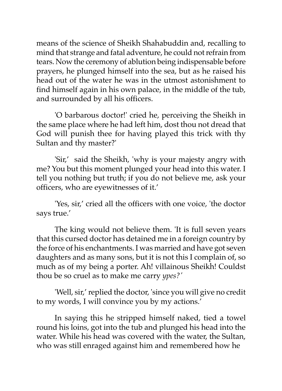means of the science of Sheikh Shahabuddin and, recalling to mind that strange and fatal adventure, he could not refrain from tears. Now the ceremony of ablution being indispensable before prayers, he plunged himself into the sea, but as he raised his head out of the water he was in the utmost astonishment to find himself again in his own palace, in the middle of the tub, and surrounded by all his officers.

'O barbarous doctor!' cried he, perceiving the Sheikh in the same place where he had left him, dost thou not dread that God will punish thee for having played this trick with thy Sultan and thy master?'

'Sir,' said the Sheikh, 'why is your majesty angry with me? You but this moment plunged your head into this water. I tell you nothing but truth; if you do not believe me, ask your officers, who are eyewitnesses of it.'

'Yes, sir,' cried all the officers with one voice, 'the doctor says true.'

The king would not believe them. 'It is full seven years that this cursed doctor has detained me in a foreign country by the force of his enchantments. I was married and have got seven daughters and as many sons, but it is not this I complain of, so much as of my being a porter. Ah! villainous Sheikh! Couldst thou be so cruel as to make me carry *ypes?'*

'Well, sir,' replied the doctor, 'since you will give no credit to my words, I will convince you by my actions.'

In saying this he stripped himself naked, tied a towel round his loins, got into the tub and plunged his head into the water. While his head was covered with the water, the Sultan, who was still enraged against him and remembered how he